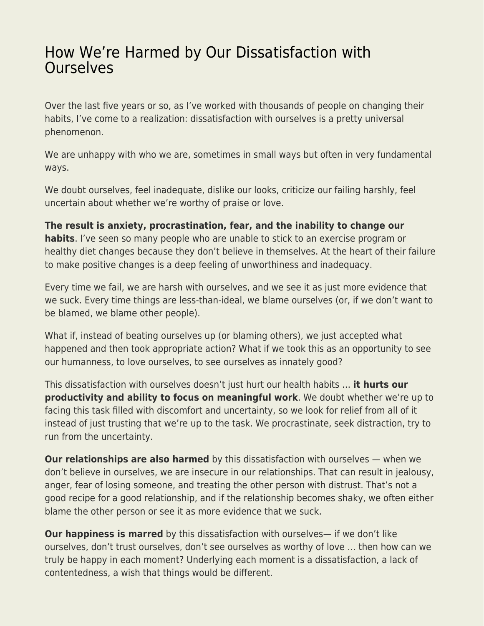## [How We're Harmed by Our Dissatisfaction with](https://everything-voluntary.com/how-were-harmed-by-our-dissatisfaction-with-ourselves) **[Ourselves](https://everything-voluntary.com/how-were-harmed-by-our-dissatisfaction-with-ourselves)**

Over the last five years or so, as I've worked with thousands of people on changing their habits, I've come to a realization: dissatisfaction with ourselves is a pretty universal phenomenon.

We are unhappy with who we are, sometimes in small ways but often in very fundamental ways.

We doubt ourselves, feel inadequate, dislike our looks, criticize our failing harshly, feel uncertain about whether we're worthy of praise or love.

**The result is anxiety, procrastination, fear, and the inability to change our habits**. I've seen so many people who are unable to stick to an exercise program or healthy diet changes because they don't believe in themselves. At the heart of their failure to make positive changes is a deep feeling of unworthiness and inadequacy.

Every time we fail, we are harsh with ourselves, and we see it as just more evidence that we suck. Every time things are less-than-ideal, we blame ourselves (or, if we don't want to be blamed, we blame other people).

What if, instead of beating ourselves up (or blaming others), we just accepted what happened and then took appropriate action? What if we took this as an opportunity to see our humanness, to love ourselves, to see ourselves as innately good?

This dissatisfaction with ourselves doesn't just hurt our health habits … **it hurts our productivity and ability to focus on meaningful work**. We doubt whether we're up to facing this task filled with discomfort and uncertainty, so we look for relief from all of it instead of just trusting that we're up to the task. We procrastinate, seek distraction, try to run from the uncertainty.

**Our relationships are also harmed** by this dissatisfaction with ourselves — when we don't believe in ourselves, we are insecure in our relationships. That can result in jealousy, anger, fear of losing someone, and treating the other person with distrust. That's not a good recipe for a good relationship, and if the relationship becomes shaky, we often either blame the other person or see it as more evidence that we suck.

**Our happiness is marred** by this dissatisfaction with ourselves— if we don't like ourselves, don't trust ourselves, don't see ourselves as worthy of love … then how can we truly be happy in each moment? Underlying each moment is a dissatisfaction, a lack of contentedness, a wish that things would be different.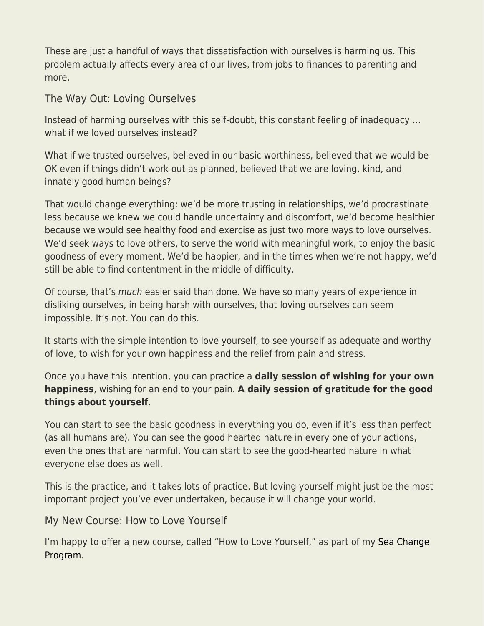These are just a handful of ways that dissatisfaction with ourselves is harming us. This problem actually affects every area of our lives, from jobs to finances to parenting and more.

The Way Out: Loving Ourselves

Instead of harming ourselves with this self-doubt, this constant feeling of inadequacy … what if we loved ourselves instead?

What if we trusted ourselves, believed in our basic worthiness, believed that we would be OK even if things didn't work out as planned, believed that we are loving, kind, and innately good human beings?

That would change everything: we'd be more trusting in relationships, we'd procrastinate less because we knew we could handle uncertainty and discomfort, we'd become healthier because we would see healthy food and exercise as just two more ways to love ourselves. We'd seek ways to love others, to serve the world with meaningful work, to enjoy the basic goodness of every moment. We'd be happier, and in the times when we're not happy, we'd still be able to find contentment in the middle of difficulty.

Of course, that's much easier said than done. We have so many years of experience in disliking ourselves, in being harsh with ourselves, that loving ourselves can seem impossible. It's not. You can do this.

It starts with the simple intention to love yourself, to see yourself as adequate and worthy of love, to wish for your own happiness and the relief from pain and stress.

Once you have this intention, you can practice a **daily session of wishing for your own happiness**, wishing for an end to your pain. **A daily session of gratitude for the good things about yourself**.

You can start to see the basic goodness in everything you do, even if it's less than perfect (as all humans are). You can see the good hearted nature in every one of your actions, even the ones that are harmful. You can start to see the good-hearted nature in what everyone else does as well.

This is the practice, and it takes lots of practice. But loving yourself might just be the most important project you've ever undertaken, because it will change your world.

## My New Course: How to Love Yourself

I'm happy to offer a new course, called "How to Love Yourself," as part of my [Sea Change](https://seachange.zenhabits.net/) [Program.](https://seachange.zenhabits.net/)